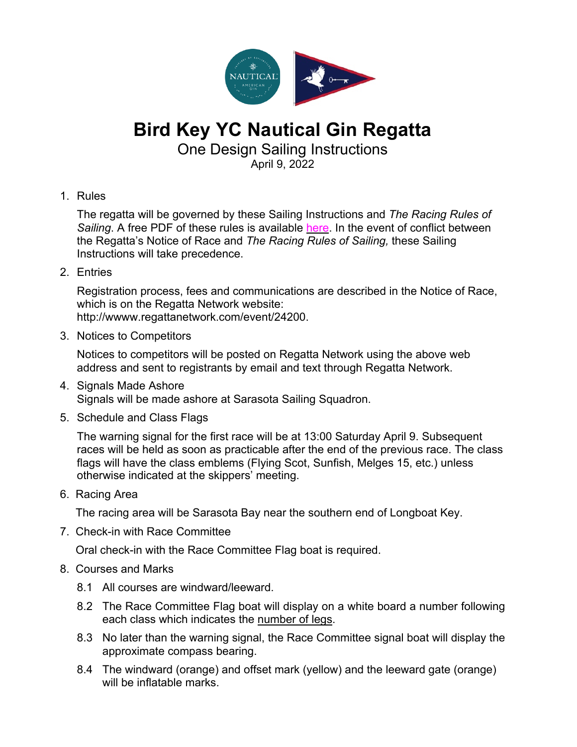

## **Bird Key YC Nautical Gin Regatta**

One Design Sailing Instructions

April 9, 2022

1. Rules

The regatta will be governed by these Sailing Instructions and *The Racing Rules of Sailing*. A free PDF of these rules is available here. In the event of conflict between the Regatta's Notice of Race and *The Racing Rules of Sailing,* these Sailing Instructions will take precedence.

2. Entries

Registration process, fees and communications are described in the Notice of Race, which is on the Regatta Network website: http://wwww.regattanetwork.com/event/24200.

3. Notices to Competitors

Notices to competitors will be posted on Regatta Network using the above web address and sent to registrants by email and text through Regatta Network.

- 4. Signals Made Ashore Signals will be made ashore at Sarasota Sailing Squadron.
- 5. Schedule and Class Flags

The warning signal for the first race will be at 13:00 Saturday April 9. Subsequent races will be held as soon as practicable after the end of the previous race. The class flags will have the class emblems (Flying Scot, Sunfish, Melges 15, etc.) unless otherwise indicated at the skippers' meeting.

6. Racing Area

The racing area will be Sarasota Bay near the southern end of Longboat Key.

7. Check-in with Race Committee

Oral check-in with the Race Committee Flag boat is required.

- 8. Courses and Marks
	- 8.1 All courses are windward/leeward.
	- 8.2 The Race Committee Flag boat will display on a white board a number following each class which indicates the number of legs.
	- 8.3 No later than the warning signal, the Race Committee signal boat will display the approximate compass bearing.
	- 8.4 The windward (orange) and offset mark (yellow) and the leeward gate (orange) will be inflatable marks.